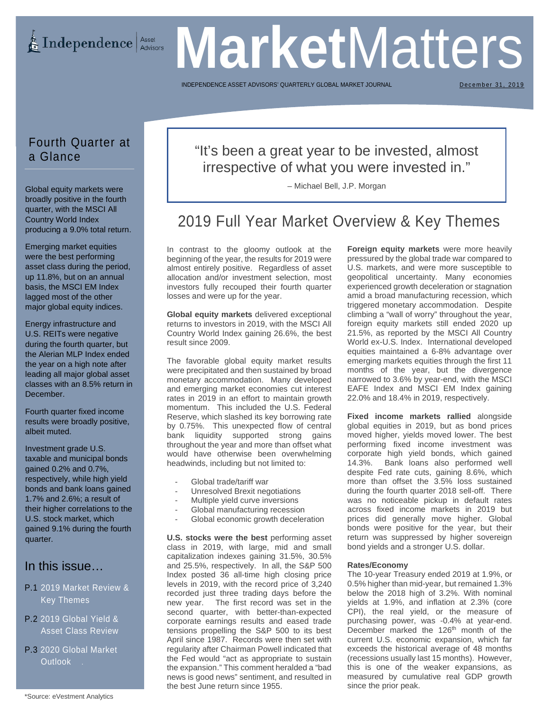**Market** Matters

INDEPENDENCE ASSET ADVISORS' QUARTERLY GLOBAL MARKET

December 31, 2019

# Fourth Quarter at a Glance

Global equity markets were broadly positive in the fourth quarter, with the MSCI All Country World Index producing a 9.0% total return.

Emerging market equities were the best performing asset class during the period, up 11.8%, but on an annual basis, the MSCI EM Index lagged most of the other major global equity indices.

Energy infrastructure and U.S. REITs were negative during the fourth quarter, but the Alerian MLP Index ended the year on a high note after leading all major global asset classes with an 8.5% return in December.

Fourth quarter fixed income results were broadly positive, albeit muted.

Investment grade U.S. taxable and municipal bonds gained 0.2% and 0.7%, respectively, while high yield bonds and bank loans gained 1.7% and 2.6%; a result of their higher correlations to the U.S. stock market, which gained 9.1% during the fourth quarter.

# In this issue…

## P.1 2019 Market Review & Key Themes

- P.2 2019 Global Yield & Asset Class Review
- P.3 2020 Global Market Outlook .

# "It's been a great year to be invested, almost irrespective of what you were invested in."

– Michael Bell, J.P. Morgan

# 2019 Full Year Market Overview & Key Themes

In contrast to the gloomy outlook at the beginning of the year, the results for 2019 were almost entirely positive. Regardless of asset allocation and/or investment selection, most investors fully recouped their fourth quarter losses and were up for the year.

**Global equity markets** delivered exceptional returns to investors in 2019, with the MSCI All Country World Index gaining 26.6%, the best result since 2009.

The favorable global equity market results were precipitated and then sustained by broad monetary accommodation. Many developed and emerging market economies cut interest rates in 2019 in an effort to maintain growth momentum. This included the U.S. Federal Reserve, which slashed its key borrowing rate by 0.75%. This unexpected flow of central bank liquidity supported strong gains throughout the year and more than offset what would have otherwise been overwhelming headwinds, including but not limited to:

- Global trade/tariff war
- Unresolved Brexit negotiations
- Multiple yield curve inversions
- Global manufacturing recession
- Global economic growth deceleration

**U.S. stocks were the best** performing asset class in 2019, with large, mid and small capitalization indexes gaining 31.5%, 30.5% and 25.5%, respectively. In all, the S&P 500 Index posted 36 all-time high closing price levels in 2019, with the record price of 3,240 recorded just three trading days before the new year. The first record was set in the second quarter, with better-than-expected corporate earnings results and eased trade tensions propelling the S&P 500 to its best April since 1987. Records were then set with regularity after Chairman Powell indicated that the Fed would "act as appropriate to sustain the expansion." This comment heralded a "bad news is good news" sentiment, and resulted in the best June return since 1955.

**Foreign equity markets** were more heavily pressured by the global trade war compared to U.S. markets, and were more susceptible to geopolitical uncertainty. Many economies experienced growth deceleration or stagnation amid a broad manufacturing recession, which triggered monetary accommodation. Despite climbing a "wall of worry" throughout the year, foreign equity markets still ended 2020 up 21.5%, as reported by the MSCI All Country World ex-U.S. Index. International developed equities maintained a 6-8% advantage over emerging markets equities through the first 11 months of the year, but the divergence narrowed to 3.6% by year-end, with the MSCI EAFE Index and MSCI EM Index gaining 22.0% and 18.4% in 2019, respectively.

**Fixed income markets rallied** alongside global equities in 2019, but as bond prices moved higher, yields moved lower. The best performing fixed income investment was corporate high yield bonds, which gained 14.3%. Bank loans also performed well despite Fed rate cuts, gaining 8.6%, which more than offset the 3.5% loss sustained during the fourth quarter 2018 sell-off. There was no noticeable pickup in default rates across fixed income markets in 2019 but prices did generally move higher. Global bonds were positive for the year, but their return was suppressed by higher sovereign bond yields and a stronger U.S. dollar.

### **Rates/Economy**

The 10-year Treasury ended 2019 at 1.9%, or 0.5% higher than mid-year, but remained 1.3% below the 2018 high of 3.2%. With nominal yields at 1.9%, and inflation at 2.3% (core CPI), the real yield, or the measure of purchasing power, was -0.4% at year-end. December marked the 126<sup>th</sup> month of the current U.S. economic expansion, which far exceeds the historical average of 48 months (recessions usually last 15 months). However, this is one of the weaker expansions, as measured by cumulative real GDP growth since the prior peak.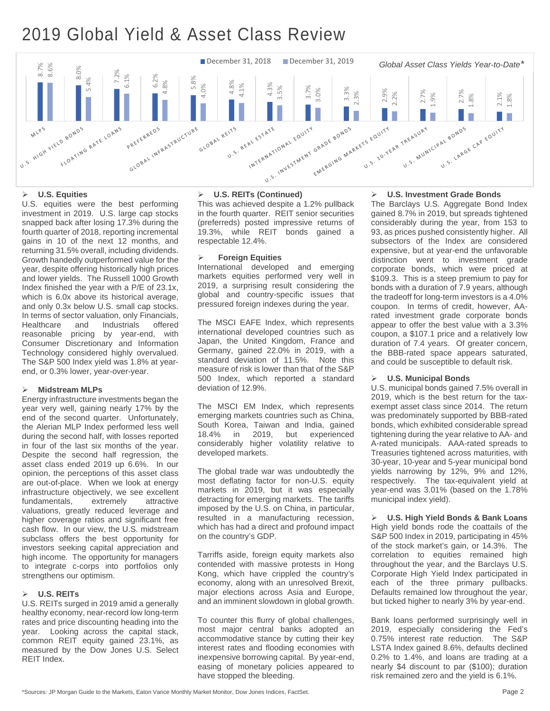# 2019 Global Yield & Asset Class Review



### **U.S. Equities**

U.S. equities were the best performing investment in 2019. U.S. large cap stocks snapped back after losing 17.3% during the fourth quarter of 2018, reporting incremental gains in 10 of the next 12 months, and returning 31.5% overall, including dividends. Growth handedly outperformed value for the year, despite offering historically high prices and lower yields. The Russell 1000 Growth Index finished the year with a P/E of 23.1x, which is 6.0x above its historical average, and only 0.3x below U.S. small cap stocks. In terms of sector valuation, only Financials,<br>Healthcare and Industrials offered Healthcare and Industrials offered reasonable pricing by year-end, with Consumer Discretionary and Information Technology considered highly overvalued. The S&P 500 Index yield was 1.8% at yearend, or 0.3% lower, year-over-year.

## **Midstream MLPs**

Energy infrastructure investments began the year very well, gaining nearly 17% by the end of the second quarter. Unfortunately, the Alerian MLP Index performed less well during the second half, with losses reported in four of the last six months of the year. Despite the second half regression, the asset class ended 2019 up 6.6%. In our opinion, the perceptions of this asset class are out-of-place. When we look at energy infrastructure objectively, we see excellent fundamentals, extremely attractive valuations, greatly reduced leverage and higher coverage ratios and significant free cash flow. In our view, the U.S. midstream subclass offers the best opportunity for investors seeking capital appreciation and high income. The opportunity for managers to integrate c-corps into portfolios only strengthens our optimism.

### **U.S. REITs**

U.S. REITs surged in 2019 amid a generally healthy economy, near-record low long-term rates and price discounting heading into the year. Looking across the capital stack, common REIT equity gained 23.1%, as measured by the Dow Jones U.S. Select REIT Index.

### **U.S. REITs (Continued)**

This was achieved despite a 1.2% pullback in the fourth quarter. REIT senior securities (preferreds) posted impressive returns of 19.3%, while REIT bonds gained a respectable 12.4%.

### **Foreign Equities**

International developed and emerging markets equities performed very well in 2019, a surprising result considering the global and country-specific issues that pressured foreign indexes during the year.

The MSCI EAFE Index, which represents international developed countries such as Japan, the United Kingdom, France and Germany, gained 22.0% in 2019, with a standard deviation of 11.5%. Note this measure of risk is lower than that of the S&P 500 Index, which reported a standard deviation of 12.9%.

The MSCI EM Index, which represents emerging markets countries such as China, South Korea, Taiwan and India, gained experienced considerably higher volatility relative to developed markets.

The global trade war was undoubtedly the most deflating factor for non-U.S. equity markets in 2019, but it was especially detracting for emerging markets. The tariffs imposed by the U.S. on China, in particular, resulted in a manufacturing recession, which has had a direct and profound impact on the country's GDP.

Tarriffs aside, foreign equity markets also contended with massive protests in Hong Kong, which have crippled the country's economy, along with an unresolved Brexit, major elections across Asia and Europe, and an imminent slowdown in global growth.

To counter this flurry of global challenges, most major central banks adopted an accommodative stance by cutting their key interest rates and flooding economies with inexpensive borrowing capital. By year-end, easing of monetary policies appeared to have stopped the bleeding.

### **U.S. Investment Grade Bonds**

The Barclays U.S. Aggregate Bond Index gained 8.7% in 2019, but spreads tightened considerably during the year, from 153 to 93, as prices pushed consistently higher. All subsectors of the Index are considered expensive, but at year-end the unfavorable distinction went to investment grade corporate bonds, which were priced at \$109.3. This is a steep premium to pay for bonds with a duration of 7.9 years, although the tradeoff for long-term investors is a 4.0% coupon. In terms of credit, however, AArated investment grade corporate bonds appear to offer the best value with a 3.3% coupon, a \$107.1 price and a relatively low duration of 7.4 years. Of greater concern, the BBB-rated space appears saturated, and could be susceptible to default risk.

### **U.S. Municipal Bonds**

U.S. municipal bonds gained 7.5% overall in 2019, which is the best return for the taxexempt asset class since 2014. The return was predominately supported by BBB-rated bonds, which exhibited considerable spread tightening during the year relative to AA- and A-rated municipals. AAA-rated spreads to Treasuries tightened across maturities, with 30-year, 10-year and 5-year municipal bond yields narrowing by 12%, 9% and 12%, respectively. The tax-equivalent yield at year-end was 3.01% (based on the 1.78% municipal index yield).

 **U.S. High Yield Bonds & Bank Loans** High yield bonds rode the coattails of the S&P 500 Index in 2019, participating in 45% of the stock market's gain, or 14.3%. The correlation to equities remained high throughout the year, and the Barclays U.S. Corporate High Yield Index participated in each of the three primary pullbacks. Defaults remained low throughout the year, but ticked higher to nearly 3% by year-end.

Bank loans performed surprisingly well in 2019, especially considering the Fed's 0.75% interest rate reduction. The S&P LSTA Index gained 8.6%, defaults declined 0.2% to 1.4%, and loans are trading at a nearly \$4 discount to par (\$100); duration risk remained zero and the yield is 6.1%.